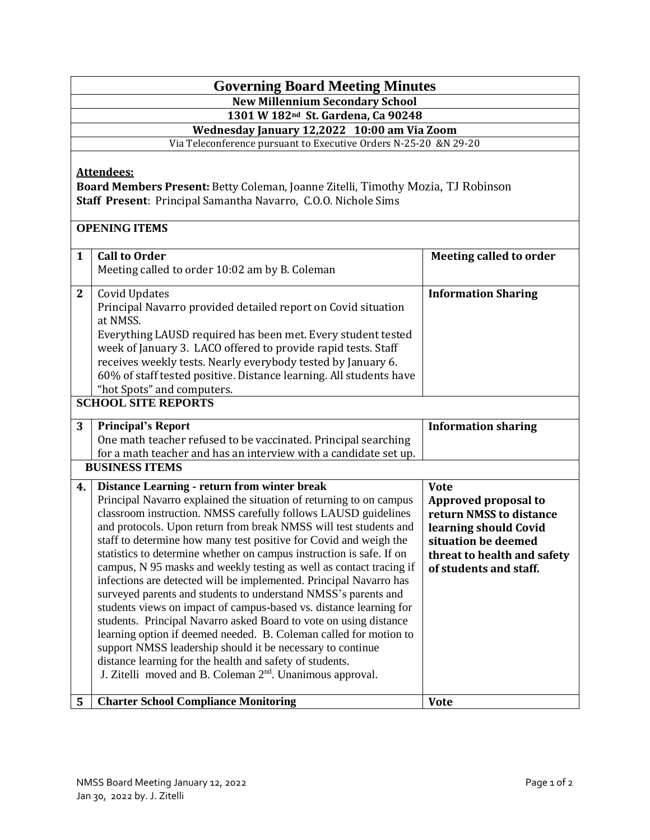## **Governing Board Meeting Minutes**

**New Millennium Secondary School**

**1301 W 182nd St. Gardena, Ca 90248**

**Wednesday January 12,2022 10:00 am Via Zoom**

Via Teleconference pursuant to Executive Orders N-25-20 &N 29-20

## **Attendees:**

**Board Members Present:** Betty Coleman, Joanne Zitelli, Timothy Mozia, TJ Robinson **Staff Present**: Principal Samantha Navarro, C.O.O. Nichole Sims

## **OPENING ITEMS**

| $\mathbf{1}$   | <b>Call to Order</b>                                                  | <b>Meeting called to order</b> |  |
|----------------|-----------------------------------------------------------------------|--------------------------------|--|
|                | Meeting called to order 10:02 am by B. Coleman                        |                                |  |
|                |                                                                       |                                |  |
| $\overline{2}$ | Covid Updates                                                         | <b>Information Sharing</b>     |  |
|                | Principal Navarro provided detailed report on Covid situation         |                                |  |
|                | at NMSS.                                                              |                                |  |
|                | Everything LAUSD required has been met. Every student tested          |                                |  |
|                | week of January 3. LACO offered to provide rapid tests. Staff         |                                |  |
|                | receives weekly tests. Nearly everybody tested by January 6.          |                                |  |
|                | 60% of staff tested positive. Distance learning. All students have    |                                |  |
|                | "hot Spots" and computers.                                            |                                |  |
|                | <b>SCHOOL SITE REPORTS</b>                                            |                                |  |
|                |                                                                       |                                |  |
| 3              | <b>Principal's Report</b>                                             | <b>Information sharing</b>     |  |
|                | One math teacher refused to be vaccinated. Principal searching        |                                |  |
|                | for a math teacher and has an interview with a candidate set up.      |                                |  |
|                | <b>BUSINESS ITEMS</b>                                                 |                                |  |
|                |                                                                       |                                |  |
|                |                                                                       |                                |  |
| 4.             | Distance Learning - return from winter break                          | <b>Vote</b>                    |  |
|                | Principal Navarro explained the situation of returning to on campus   | Approved proposal to           |  |
|                | classroom instruction. NMSS carefully follows LAUSD guidelines        | return NMSS to distance        |  |
|                | and protocols. Upon return from break NMSS will test students and     | learning should Covid          |  |
|                | staff to determine how many test positive for Covid and weigh the     | situation be deemed            |  |
|                | statistics to determine whether on campus instruction is safe. If on  |                                |  |
|                |                                                                       | threat to health and safety    |  |
|                | campus, N 95 masks and weekly testing as well as contact tracing if   | of students and staff.         |  |
|                | infections are detected will be implemented. Principal Navarro has    |                                |  |
|                | surveyed parents and students to understand NMSS's parents and        |                                |  |
|                | students views on impact of campus-based vs. distance learning for    |                                |  |
|                | students. Principal Navarro asked Board to vote on using distance     |                                |  |
|                | learning option if deemed needed. B. Coleman called for motion to     |                                |  |
|                | support NMSS leadership should it be necessary to continue            |                                |  |
|                | distance learning for the health and safety of students.              |                                |  |
|                | J. Zitelli moved and B. Coleman 2 <sup>nd</sup> . Unanimous approval. |                                |  |
| 5              | <b>Charter School Compliance Monitoring</b>                           | <b>Vote</b>                    |  |